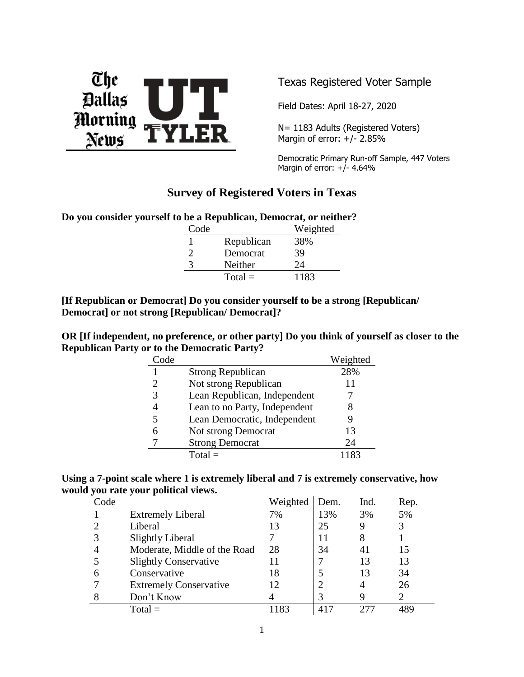

Texas Registered Voter Sample

Field Dates: April 18-27, 2020

N= 1183 Adults (Registered Voters) Margin of error:  $+/- 2.85%$ 

Democratic Primary Run-off Sample, 447 Voters Margin of error:  $+/- 4.64%$ 

### **Survey of Registered Voters in Texas**

**Do you consider yourself to be a Republican, Democrat, or neither?**

| Code |            | Weighted |
|------|------------|----------|
|      | Republican | 38%      |
| ႒    | Democrat   | 39       |
| 3    | Neither    | 24       |
|      | $Total =$  | 1183     |

**[If Republican or Democrat] Do you consider yourself to be a strong [Republican/ Democrat] or not strong [Republican/ Democrat]?**

**OR [If independent, no preference, or other party] Do you think of yourself as closer to the Republican Party or to the Democratic Party?**

| Code                   |                               | Weighted |
|------------------------|-------------------------------|----------|
|                        | <b>Strong Republican</b>      | 28%      |
| $\mathfrak{D}_{\cdot}$ | Not strong Republican         | 11       |
| 3                      | Lean Republican, Independent  |          |
|                        | Lean to no Party, Independent | 8        |
| 5                      | Lean Democratic, Independent  |          |
| 6                      | Not strong Democrat           | 13       |
|                        | <b>Strong Democrat</b>        | 24       |
|                        | $Total =$                     | 1183     |

|                                      | Using a 7-point scale where 1 is extremely liberal and 7 is extremely conservative, how |
|--------------------------------------|-----------------------------------------------------------------------------------------|
| would you rate your political views. |                                                                                         |

| Code |                               | Weighted | Dem. | Ind. | Rep. |
|------|-------------------------------|----------|------|------|------|
|      | <b>Extremely Liberal</b>      | 7%       | 13%  | 3%   | 5%   |
|      | Liberal                       | 13       | 25   |      | 3    |
|      | <b>Slightly Liberal</b>       |          | 11   |      |      |
|      | Moderate, Middle of the Road  | 28       | 34   | 41   | 15   |
|      | <b>Slightly Conservative</b>  |          |      | 13   | 13   |
|      | Conservative                  | 18       |      | 13   | 34   |
|      | <b>Extremely Conservative</b> | 12       |      |      | 26   |
|      | Don't Know                    |          | 3    |      |      |
|      | $Total =$                     | 183      |      |      |      |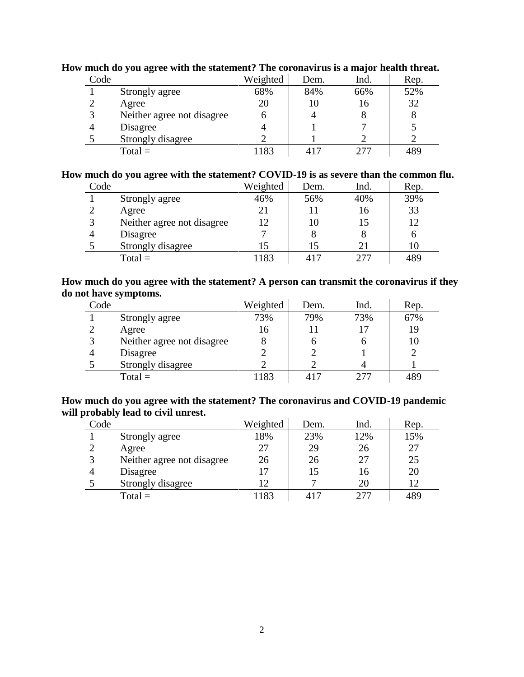| Code |                            | Weighted | Dem.     | Ind. | Rep. |
|------|----------------------------|----------|----------|------|------|
|      | Strongly agree             | 68%      | 84%      | 66%  | 52%  |
|      | Agree                      | 20       | 10       | 16   | 32   |
| 3    | Neither agree not disagree | n        |          |      |      |
| 4    | Disagree                   |          |          |      |      |
|      | Strongly disagree          |          |          |      |      |
|      | $Total =$                  | 183      | $41^{-}$ | フフフ  | 489  |

### **How much do you agree with the statement? The coronavirus is a major health threat.**

#### **How much do you agree with the statement? COVID-19 is as severe than the common flu.**

| Code |                            | Weighted | Dem. | Ind. | Rep. |
|------|----------------------------|----------|------|------|------|
|      | Strongly agree             | 46%      | 56%  | 40%  | 39%  |
|      | Agree                      | 21       | 11   | 16   | 33   |
|      | Neither agree not disagree | 12       | 10   |      | 12   |
|      | Disagree                   |          | 8    | 8    |      |
|      | Strongly disagree          |          | 15   | 21   | 10   |
|      | $Total =$                  | 1183     | 417  | 277  | 489  |

### **How much do you agree with the statement? A person can transmit the coronavirus if they do not have symptoms.**

| Code |                            | Weighted | Dem. | Ind. | Rep. |
|------|----------------------------|----------|------|------|------|
|      | Strongly agree             | 73%      | 79%  | 73%  | 67%  |
|      | Agree                      | 16       | 11   |      | 19   |
|      | Neither agree not disagree |          | n    |      | 10   |
|      | Disagree                   |          |      |      |      |
|      | Strongly disagree          |          |      |      |      |
|      | $Total =$                  | 1183     | 417  |      | 489  |

### **How much do you agree with the statement? The coronavirus and COVID-19 pandemic will probably lead to civil unrest.**

| Code |                            | Weighted | Dem. | Ind. | Rep. |
|------|----------------------------|----------|------|------|------|
|      | Strongly agree             | 18%      | 23%  | 12%  | 15%  |
|      | Agree                      | 27       | 29   | 26   | 27   |
|      | Neither agree not disagree | 26       | 26   | 27   | 25   |
|      | Disagree                   | 17       | 15   | 16   | 20   |
|      | Strongly disagree          | 12       |      | 20   | 12   |
|      | $Total =$                  | 1183     | 417  |      | 489  |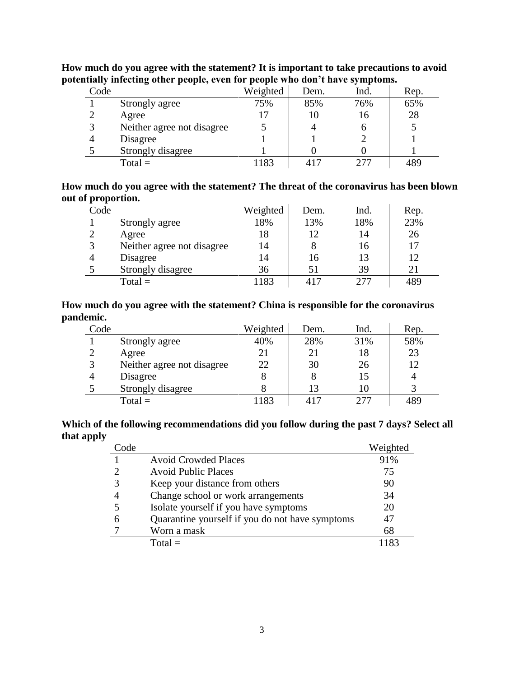| Code |                            | Weighted | Dem. | Ind. | Rep. |
|------|----------------------------|----------|------|------|------|
|      | Strongly agree             | 75%      | 85%  | 76%  | 65%  |
|      | Agree                      | 17       | 10   | 16   | 28   |
| 3    | Neither agree not disagree |          | 4    | O    |      |
|      | Disagree                   |          |      |      |      |
|      | Strongly disagree          |          |      |      |      |
|      | $Total =$                  | 1183     | 417  | ״ר ר | 489  |

**How much do you agree with the statement? It is important to take precautions to avoid potentially infecting other people, even for people who don't have symptoms.**

### **How much do you agree with the statement? The threat of the coronavirus has been blown out of proportion.**

| Code |                            | Weighted | Dem. | Ind. | Rep. |
|------|----------------------------|----------|------|------|------|
|      | Strongly agree             | 18%      | 13%  | 18%  | 23%  |
|      | Agree                      | 18       | 12   | 14   | 26   |
|      | Neither agree not disagree | 14       | 8    | 16   | 17   |
|      | Disagree                   | 14       | 16   | 13   | 12   |
|      | Strongly disagree          | 36       | 51   | 39   | 21   |
|      | $Total =$                  | 1183     | 417  | 277  | 489  |

### **How much do you agree with the statement? China is responsible for the coronavirus pandemic.**

| Code          |                            | Weighted | Dem. | Ind. | Rep. |
|---------------|----------------------------|----------|------|------|------|
|               | Strongly agree             | 40%      | 28%  | 31%  | 58%  |
| $\mathcal{D}$ | Agree                      | 21       | 21   | 18   | 23   |
| 3             | Neither agree not disagree | 22       | 30   | 26   | 12   |
|               | Disagree                   | 8        | 8    |      |      |
|               | Strongly disagree          |          | 13   |      |      |
|               | $Total =$                  | 183      | 417  | 277  | 489  |

### **Which of the following recommendations did you follow during the past 7 days? Select all that apply**

| Code |                                                 | Weighted |
|------|-------------------------------------------------|----------|
|      | <b>Avoid Crowded Places</b>                     | 91%      |
|      | <b>Avoid Public Places</b>                      | 75       |
|      | Keep your distance from others                  | 90       |
|      | Change school or work arrangements              | 34       |
|      | Isolate yourself if you have symptoms           | 20       |
|      | Quarantine yourself if you do not have symptoms | 47       |
|      | Worn a mask                                     | 68       |
|      | $Total =$                                       | 1183     |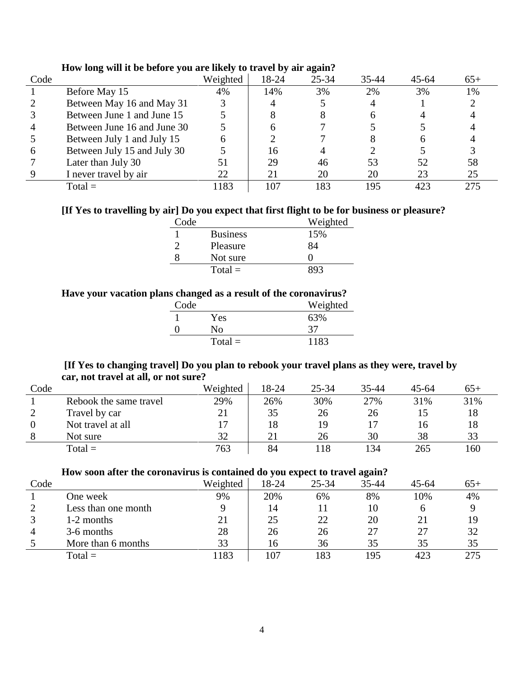| Code |                             | Weighted | 18-24 | $25 - 34$ | $35 - 44$ | $45 - 64$ | $65+$ |
|------|-----------------------------|----------|-------|-----------|-----------|-----------|-------|
|      | Before May 15               | 4%       | 14%   | 3%        | 2%        | 3%        | 1%    |
|      | Between May 16 and May 31   |          |       |           |           |           |       |
|      | Between June 1 and June 15  |          |       |           |           |           |       |
|      | Between June 16 and June 30 |          |       |           |           |           |       |
|      | Between July 1 and July 15  |          |       |           |           |           |       |
| h    | Between July 15 and July 30 |          | 16    |           |           |           |       |
|      | Later than July 30          |          | 29    | 46        | 53        | 52        | 58    |
|      | I never travel by air       | 22       | 21    | 20        | 20        | 23        | 25    |
|      | $Total =$                   | 1183     | 107   | 183       | 195       | 423       | 275   |

### **How long will it be before you are likely to travel by air again?**

### **[If Yes to travelling by air] Do you expect that first flight to be for business or pleasure?**

| Code |                 | Weighted |
|------|-----------------|----------|
|      | <b>Business</b> | 15%      |
|      | Pleasure        | 84       |
|      | Not sure        |          |
|      | $Total =$       |          |

### **Have your vacation plans changed as a result of the coronavirus?**

| Code |           | Weighted |
|------|-----------|----------|
|      | Yes       | 63%      |
|      | Nο        | 37       |
|      | $Total =$ | 1183     |

### **[If Yes to changing travel] Do you plan to rebook your travel plans as they were, travel by car, not travel at all, or not sure?**

| Code |                        | Weighted | 18-24 | $25 - 34$ | 35-44 | $45 - 64$ | 65+ |
|------|------------------------|----------|-------|-----------|-------|-----------|-----|
|      | Rebook the same travel | 29%      | 26%   | 30%       | 27%   | 31%       | 31% |
|      | Travel by car          | 21       | 35    | 26        | 26    |           | 18  |
|      | Not travel at all      |          | 18    | 19        |       | 16        | 18  |
|      | Not sure               | 32       |       | 26        | 30    | 38        | 33  |
|      | $Total =$              | 763      | 84    | 18        | 134   | 265       | 160 |

#### **How soon after the coronavirus is contained do you expect to travel again?**

|      |                     |          |       |           | ້     |           |       |
|------|---------------------|----------|-------|-----------|-------|-----------|-------|
| Code |                     | Weighted | 18-24 | $25 - 34$ | 35-44 | $45 - 64$ | $65+$ |
|      | One week            | 9%       | 20%   | 6%        | 8%    | 10%       | 4%    |
|      | Less than one month |          | 14    |           | 10    |           |       |
|      | 1-2 months          | 21       | 25    | 22        | 20    |           |       |
|      | 3-6 months          | 28       | 26    | 26        |       |           | 32    |
|      | More than 6 months  | 33       | 16    | 36        | 35    | 35        | 35    |
|      | $Total =$           | 183      | 107   | 183       | 195   | 423       | 275   |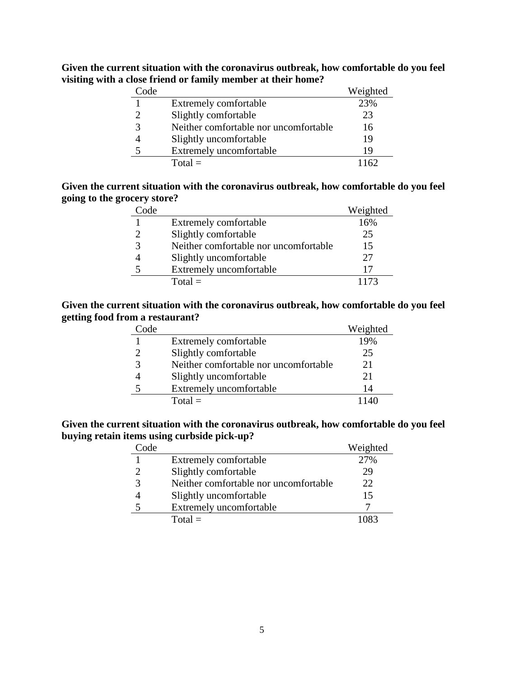| Code          |                                       | Weighted |
|---------------|---------------------------------------|----------|
|               | Extremely comfortable                 | 23%      |
| $\mathcal{D}$ | Slightly comfortable                  | 23       |
| 3             | Neither comfortable nor uncomfortable | 16       |
|               | Slightly uncomfortable                | 19       |
| 5             | Extremely uncomfortable               | 19       |
|               | $Total =$                             |          |

**Given the current situation with the coronavirus outbreak, how comfortable do you feel visiting with a close friend or family member at their home?**

### **Given the current situation with the coronavirus outbreak, how comfortable do you feel going to the grocery store?**

| Code |                                       | Weighted |
|------|---------------------------------------|----------|
|      | Extremely comfortable                 | 16%      |
|      | Slightly comfortable                  | 25       |
|      | Neither comfortable nor uncomfortable | 15       |
|      | Slightly uncomfortable                | 27       |
| 5    | Extremely uncomfortable               |          |
|      | $Total =$                             | 1173     |

#### **Given the current situation with the coronavirus outbreak, how comfortable do you feel getting food from a restaurant?**

| ~ode |                                       | Weighted |
|------|---------------------------------------|----------|
|      | Extremely comfortable                 | 19%      |
|      | Slightly comfortable                  | 25       |
|      | Neither comfortable nor uncomfortable | 21       |
|      | Slightly uncomfortable                | 21       |
|      | Extremely uncomfortable               | 14       |
|      | $Total =$                             |          |

### **Given the current situation with the coronavirus outbreak, how comfortable do you feel buying retain items using curbside pick-up?**

| Code |                                       | Weighted |
|------|---------------------------------------|----------|
|      | Extremely comfortable                 | 27%      |
|      | Slightly comfortable                  | 29       |
|      | Neither comfortable nor uncomfortable | 22       |
|      | Slightly uncomfortable                | 15       |
|      | Extremely uncomfortable               |          |
|      | $Total =$                             | 1083     |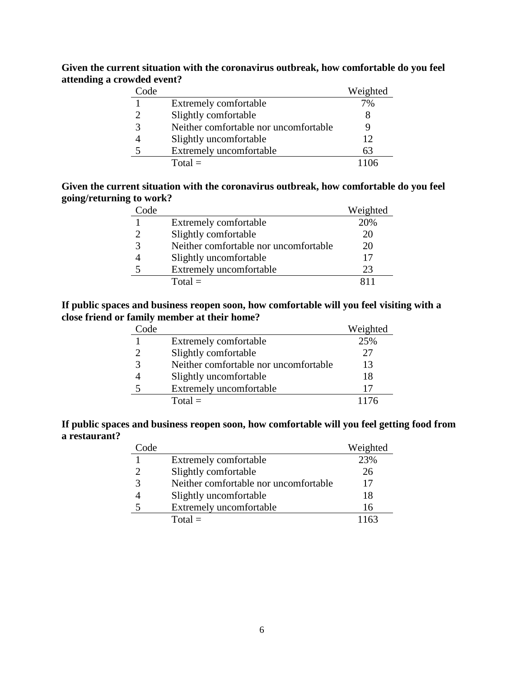| Code |                                       | Weighted |
|------|---------------------------------------|----------|
|      | Extremely comfortable                 | 7%       |
|      | Slightly comfortable                  |          |
|      | Neither comfortable nor uncomfortable |          |
|      | Slightly uncomfortable                | 12       |
|      | Extremely uncomfortable               | 63       |
|      | $Total =$                             |          |

**Given the current situation with the coronavirus outbreak, how comfortable do you feel attending a crowded event?**

### **Given the current situation with the coronavirus outbreak, how comfortable do you feel going/returning to work?**

| Code |                                       | Weighted |
|------|---------------------------------------|----------|
|      | Extremely comfortable                 | 20%      |
|      | Slightly comfortable                  | 20       |
|      | Neither comfortable nor uncomfortable | 20       |
|      | Slightly uncomfortable                |          |
| 5    | Extremely uncomfortable               | 23       |
|      | $Total =$                             |          |

### **If public spaces and business reopen soon, how comfortable will you feel visiting with a close friend or family member at their home?**

| Code |                                       | Weighted |
|------|---------------------------------------|----------|
|      | Extremely comfortable                 | 25%      |
|      | Slightly comfortable                  | 27       |
|      | Neither comfortable nor uncomfortable | 13       |
|      | Slightly uncomfortable                | 18       |
|      | Extremely uncomfortable               | 17       |
|      | $Total =$                             |          |

**If public spaces and business reopen soon, how comfortable will you feel getting food from a restaurant?**

| Code |                                       | Weighted |
|------|---------------------------------------|----------|
|      | Extremely comfortable                 | 23%      |
|      | Slightly comfortable                  | 26       |
|      | Neither comfortable nor uncomfortable | 17       |
|      | Slightly uncomfortable                | 18       |
|      | Extremely uncomfortable               | 16       |
|      | $Total =$                             | 1163     |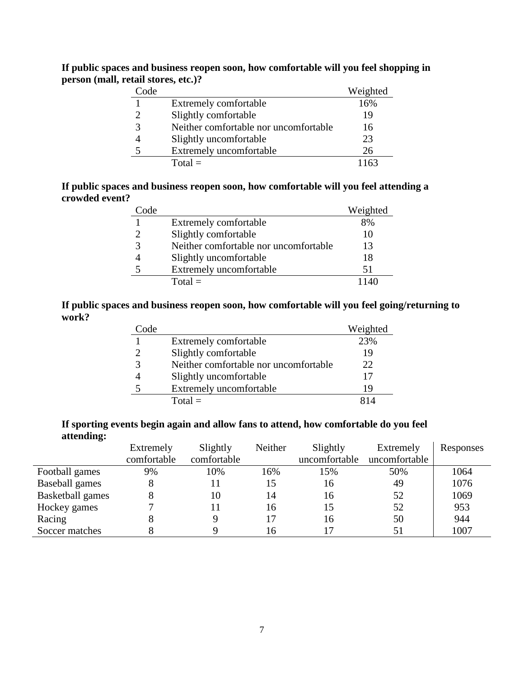|                                     | If public spaces and business reopen soon, how comfortable will you feel shopping in |
|-------------------------------------|--------------------------------------------------------------------------------------|
| person (mall, retail stores, etc.)? |                                                                                      |

| Code          |                                       | Weighted |
|---------------|---------------------------------------|----------|
|               | Extremely comfortable                 | 16%      |
| $\mathcal{D}$ | Slightly comfortable                  | 19       |
| 3             | Neither comfortable nor uncomfortable | 16       |
|               | Slightly uncomfortable                | 23       |
| 5             | Extremely uncomfortable               | 26       |
|               | $Total =$                             |          |

### **If public spaces and business reopen soon, how comfortable will you feel attending a crowded event?**

| Code |                                       | Weighted |
|------|---------------------------------------|----------|
|      | Extremely comfortable                 | 8%       |
|      | Slightly comfortable                  | 10       |
| 3    | Neither comfortable nor uncomfortable | 13       |
|      | Slightly uncomfortable                | 18       |
| 5    | Extremely uncomfortable               | 51       |
|      | $Total =$                             |          |

### **If public spaces and business reopen soon, how comfortable will you feel going/returning to work?**

| Code |                                       | Weighted |
|------|---------------------------------------|----------|
|      | Extremely comfortable                 | 23%      |
|      | Slightly comfortable                  | 19       |
| 3    | Neither comfortable nor uncomfortable | 22       |
|      | Slightly uncomfortable                | 17       |
|      | Extremely uncomfortable               | 19       |
|      | $Total =$                             |          |

### **If sporting events begin again and allow fans to attend, how comfortable do you feel attending:**

| ີ                       | Extremely   | Slightly    | Neither | Slightly      | Extremely     | Responses |
|-------------------------|-------------|-------------|---------|---------------|---------------|-----------|
|                         | comfortable | comfortable |         | uncomfortable | uncomfortable |           |
| Football games          | 9%          | 10%         | 16%     | 15%           | 50%           | 1064      |
| Baseball games          |             |             | 15      | 16            | 49            | 1076      |
| <b>Basketball</b> games |             | 10          | 14      | 16            | 52            | 1069      |
| Hockey games            |             |             | 16      | 15            | 52            | 953       |
| Racing                  |             |             |         | 16            | 50            | 944       |
| Soccer matches          |             |             | 16      |               | 51            | 1007      |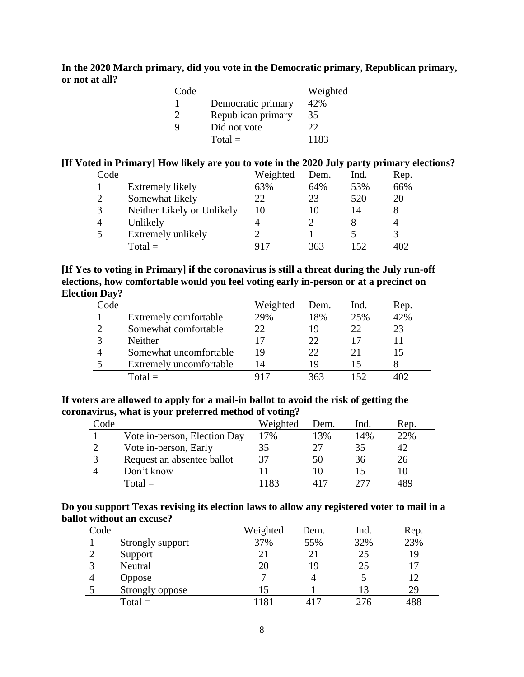**In the 2020 March primary, did you vote in the Democratic primary, Republican primary, or not at all?**

| Code |                    | Weighted |
|------|--------------------|----------|
|      | Democratic primary | 42%      |
| っ    | Republican primary | 35       |
| 9    | Did not vote       | 22       |
|      | $Total =$          | 1183     |

# **[If Voted in Primary] How likely are you to vote in the 2020 July party primary elections?**

| Code |                            | Weighted | Dem. | Ind. | Rep. |
|------|----------------------------|----------|------|------|------|
|      | Extremely likely           | 63%      | 64%  | 53%  | 66%  |
| າ    | Somewhat likely            | 22       | 23   | 520  | 20   |
| 3    | Neither Likely or Unlikely |          | 10   | 14   |      |
|      | Unlikely                   |          |      |      |      |
|      | Extremely unlikely         |          |      |      |      |
|      | $Total =$                  |          | 363  | 152  |      |

### **[If Yes to voting in Primary] if the coronavirus is still a threat during the July run-off elections, how comfortable would you feel voting early in-person or at a precinct on Election Day?**

| Code |                         | Weighted | Dem. | Ind. | Rep. |
|------|-------------------------|----------|------|------|------|
|      | Extremely comfortable   | 29%      | 18%  | 25%  | 42%  |
|      | Somewhat comfortable    | つつ       | 19   | 22   | 23   |
|      | <b>Neither</b>          |          | 22   |      |      |
|      | Somewhat uncomfortable  | 19       | 22   | 21   |      |
|      | Extremely uncomfortable | 14       | 19   | ר ו  |      |
|      | Total $\equiv$          |          | 363  |      |      |

#### **If voters are allowed to apply for a mail-in ballot to avoid the risk of getting the coronavirus, what is your preferred method of voting?**

| Code |                              | Weighted | Dem. | Ind. | Rep. |
|------|------------------------------|----------|------|------|------|
|      | Vote in-person, Election Day | 17%      | 13%  | 14%  | 22%  |
|      | Vote in-person, Early        | 35       |      | 35   | 42   |
|      | Request an absentee ballot   | 37       | 50   | 36   | 26   |
|      | Don't know                   |          |      |      |      |
|      | $Total =$                    | 183      |      |      | 189  |

#### **Do you support Texas revising its election laws to allow any registered voter to mail in a ballot without an excuse?**

| Code |                  | Weighted | Dem. | Ind. | Rep. |
|------|------------------|----------|------|------|------|
|      | Strongly support | 37%      | 55%  | 32%  | 23%  |
|      | Support          | 21       | 21   | 25   | 19   |
|      | Neutral          | 20       | 19   | 25   | 17   |
|      | <b>Oppose</b>    |          |      |      | 12   |
|      | Strongly oppose  | 15       |      |      | 29   |
|      | $Total =$        | 181      | 417  | 276  | 488  |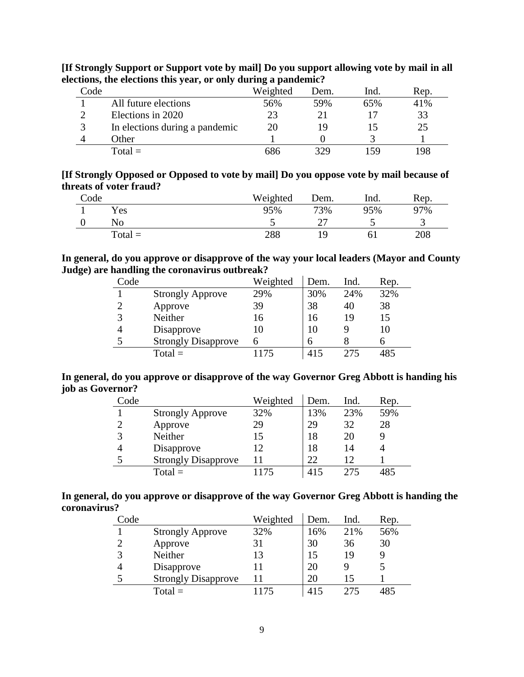| Code |                                | Weighted | Dem. | lnd. | Rep. |
|------|--------------------------------|----------|------|------|------|
|      | All future elections           | 56%      | 59%  | 65%  | 41%  |
|      | Elections in 2020              | 23       |      |      | 33   |
| 3    | In elections during a pandemic | 20       | 19   |      | 25   |
|      | Other                          |          |      |      |      |
|      | $Total =$                      | 686      | 329  | 159  | 198  |

**[If Strongly Support or Support vote by mail] Do you support allowing vote by mail in all elections, the elections this year, or only during a pandemic?**

| [If Strongly Opposed or Opposed to vote by mail] Do you oppose vote by mail because of |  |  |
|----------------------------------------------------------------------------------------|--|--|
| threats of voter fraud?                                                                |  |  |

| Code |           | Weighted | Dem. | lnd. | Rep. |
|------|-----------|----------|------|------|------|
|      | Yes       | 95%      | 73%  | 95%  | 97%  |
|      | No        |          |      |      |      |
|      | $Total =$ | 288      | 1 Q  |      | 208  |

### **In general, do you approve or disapprove of the way your local leaders (Mayor and County Judge) are handling the coronavirus outbreak?**

| Code           |                            | Weighted | Dem. | Ind. | Rep. |
|----------------|----------------------------|----------|------|------|------|
|                | <b>Strongly Approve</b>    | 29%      | 30%  | 24%  | 32%  |
| $\overline{2}$ | Approve                    | 39       | 38   | 40   | 38   |
| 3              | Neither                    | 16       | 16   | 19   | 15   |
| 4              | Disapprove                 | 10       | 10   | q    | 10   |
| 5              | <b>Strongly Disapprove</b> | 6        | 6    |      |      |
|                | $Total =$                  | 1175     | 415  | 275  | 485  |

#### **In general, do you approve or disapprove of the way Governor Greg Abbott is handing his job as Governor?**  $\mathcal{L}$

| Code |                            | Weighted | Dem. | Ind. | Rep. |
|------|----------------------------|----------|------|------|------|
|      | <b>Strongly Approve</b>    | 32%      | 13%  | 23%  | 59%  |
| റ    | Approve                    | 29       | 29   | 32   | 28   |
|      | Neither                    | 15       | 18   | 20   |      |
|      | Disapprove                 | 12       | 18   | 14   |      |
|      | <b>Strongly Disapprove</b> | 11       | 22   |      |      |
|      | $Total =$                  | 1175     | 415  | 275  | 485  |

### **In general, do you approve or disapprove of the way Governor Greg Abbott is handing the coronavirus?**

| Code |                            | Weighted | Dem. | Ind. | Rep. |
|------|----------------------------|----------|------|------|------|
|      | <b>Strongly Approve</b>    | 32%      | 16%  | 21%  | 56%  |
|      | Approve                    | 31       | 30   | 36   | 30   |
|      | Neither                    | 13       | 15   | 19   |      |
|      | Disapprove                 | 11       | 20   | Q    |      |
|      | <b>Strongly Disapprove</b> | 11       | 20   |      |      |
|      | $Total =$                  | 1175     | 415  | 275  | 485  |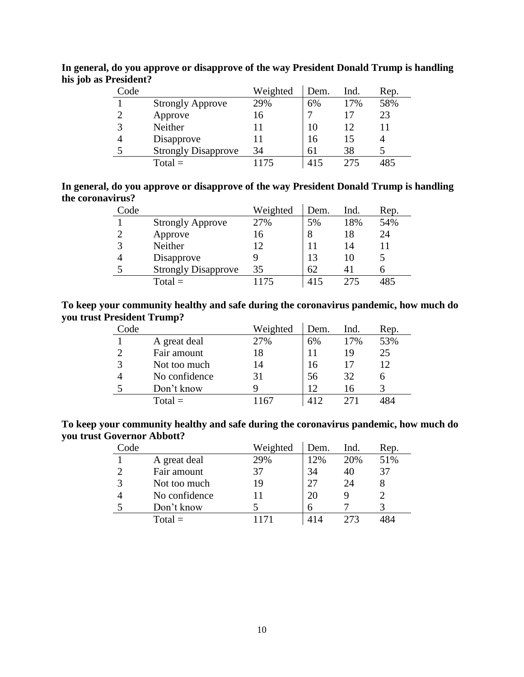| Code |                            | Weighted | Dem. | Ind. | Rep. |
|------|----------------------------|----------|------|------|------|
|      | <b>Strongly Approve</b>    | 29%      | 6%   | 17%  | 58%  |
| C    | Approve                    | 16       |      |      | 23   |
| 3    | Neither                    |          | 10   | 12   |      |
| 4    | Disapprove                 |          | 16   | 15   |      |
| 5    | <b>Strongly Disapprove</b> | 34       | 61   | 38   |      |
|      | $Total =$                  |          | 415  | 275  |      |

**In general, do you approve or disapprove of the way President Donald Trump is handling his job as President?**

| In general, do you approve or disapprove of the way President Donald Trump is handling |  |  |
|----------------------------------------------------------------------------------------|--|--|
| the coronavirus?                                                                       |  |  |

| Code |                            | Weighted | Dem. | Ind. | Rep. |
|------|----------------------------|----------|------|------|------|
|      | <b>Strongly Approve</b>    | 27%      | 5%   | 18%  | 54%  |
| 2    | Approve                    | 16       | 8    | 18   | 24   |
| 3    | Neither                    | 12       | 11   | 14   | 11   |
|      | Disapprove                 |          | 13   | 10   | 5    |
|      | <b>Strongly Disapprove</b> | 35       | 62   |      |      |
|      | $Total =$                  | 1175     | 415  | 275  | 485  |

### **To keep your community healthy and safe during the coronavirus pandemic, how much do you trust President Trump?**

| Code |               | Weighted        | Dem. | Ind. | Rep. |
|------|---------------|-----------------|------|------|------|
|      | A great deal  | 27%             | 6%   | 17%  | 53%  |
| っ    | Fair amount   | 18              |      | 19   | 25   |
| 3    | Not too much  | 14              | 16   |      | 12   |
|      | No confidence | 31              | 56   | 32   | 6    |
| 5    | Don't know    |                 | 12   | 16   |      |
|      | $Total =$     | 16 <sup>′</sup> | 412  |      |      |

**To keep your community healthy and safe during the coronavirus pandemic, how much do you trust Governor Abbott?**

| Code |               | Weighted | Dem. | Ind. | Rep. |
|------|---------------|----------|------|------|------|
|      | A great deal  | 29%      | 12%  | 20%  | 51%  |
| っ    | Fair amount   | 37       | 34   | 40   | 37   |
| 3    | Not too much  | 19       |      | 24   |      |
|      | No confidence |          | 20   |      |      |
|      | Don't know    |          | h    |      |      |
|      | $Total =$     |          |      |      |      |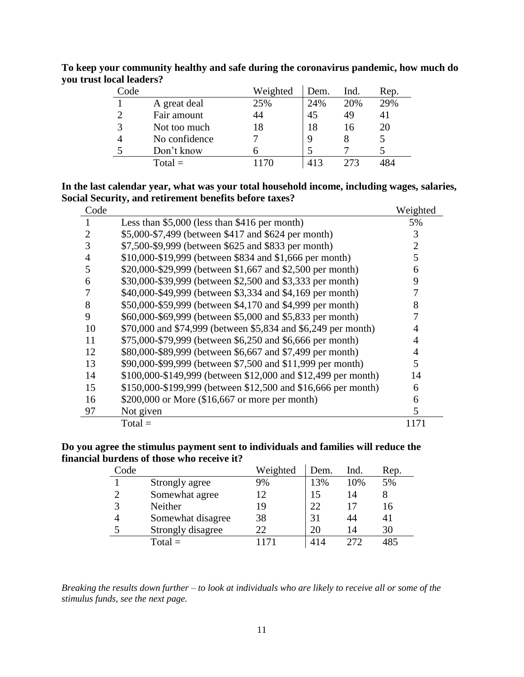| Code          |               | Weighted | Dem. | Ind. | Rep. |
|---------------|---------------|----------|------|------|------|
|               | A great deal  | 25%      | 24%  | 20%  | 29%  |
|               | Fair amount   | 44       | 45   | 49   | 41   |
| $\mathcal{R}$ | Not too much  | 18       | 18   | 16   | 20   |
|               | No confidence |          | 9    |      |      |
|               | Don't know    |          |      |      |      |
|               | $Total =$     |          | 413  | 273  |      |

**To keep your community healthy and safe during the coronavirus pandemic, how much do you trust local leaders?**

### **In the last calendar year, what was your total household income, including wages, salaries, Social Security, and retirement benefits before taxes?**

| Code           |                                                               | Weighted |
|----------------|---------------------------------------------------------------|----------|
|                | Less than $$5,000$ (less than $$416$ per month)               | 5%       |
| $\overline{2}$ | \$5,000-\$7,499 (between \$417 and \$624 per month)           | 3        |
| 3              | \$7,500-\$9,999 (between \$625 and \$833 per month)           | 2        |
| $\overline{4}$ | \$10,000-\$19,999 (between \$834 and \$1,666 per month)       | 5        |
| 5              | \$20,000-\$29,999 (between \$1,667 and \$2,500 per month)     | 6        |
| 6              | \$30,000-\$39,999 (between \$2,500 and \$3,333 per month)     | 9        |
| 7              | \$40,000-\$49,999 (between \$3,334 and \$4,169 per month)     |          |
| 8              | \$50,000-\$59,999 (between \$4,170 and \$4,999 per month)     | 8        |
| 9              | \$60,000-\$69,999 (between \$5,000 and \$5,833 per month)     |          |
| 10             | \$70,000 and \$74,999 (between \$5,834 and \$6,249 per month) |          |
| 11             | \$75,000-\$79,999 (between \$6,250 and \$6,666 per month)     | 4        |
| 12             | \$80,000-\$89,999 (between \$6,667 and \$7,499 per month)     | 4        |
| 13             | \$90,000-\$99,999 (between \$7,500 and \$11,999 per month)    | 5        |
| 14             | \$100,000-\$149,999 (between \$12,000 and \$12,499 per month) | 14       |
| 15             | \$150,000-\$199,999 (between \$12,500 and \$16,666 per month) | 6        |
| 16             | \$200,000 or More $(\$16,667$ or more per month)              | 6        |
| 97             | Not given                                                     | 5        |
|                | $Total =$                                                     | 1171     |

**Do you agree the stimulus payment sent to individuals and families will reduce the financial burdens of those who receive it?**

| Code |                   | Weighted | Dem. | Ind. | Rep. |
|------|-------------------|----------|------|------|------|
|      | Strongly agree    | 9%       | 13%  | 10%  | 5%   |
|      | Somewhat agree    | 12       | 15   | 14   |      |
|      | Neither           | 19       | 22   |      | 16   |
|      | Somewhat disagree | 38       | 31   | ΔΔ   | 41   |
|      | Strongly disagree | 22       | 20   | 14   | 30   |
|      | $Total =$         |          | 414  | 272  | 485  |

*Breaking the results down further – to look at individuals who are likely to receive all or some of the stimulus funds, see the next page.*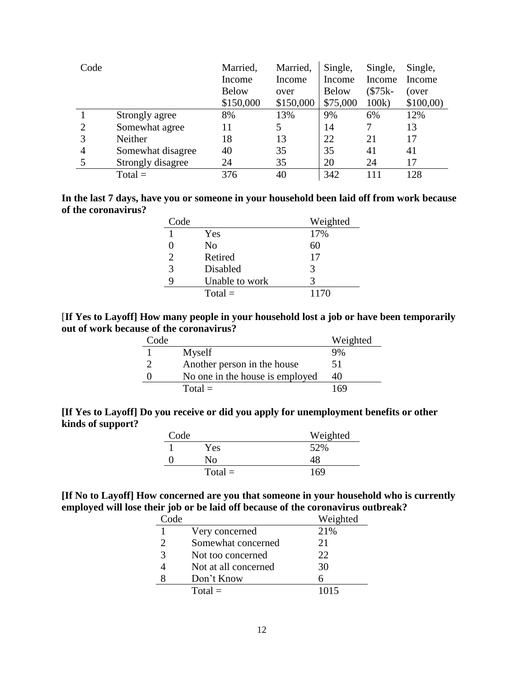| Code |                   | Married,     | Married,  | Single,      | Single,  | Single,  |
|------|-------------------|--------------|-----------|--------------|----------|----------|
|      |                   | Income       | Income    | Income       | Income   | Income   |
|      |                   | <b>Below</b> | over      | <b>Below</b> | $($75k-$ | (over    |
|      |                   | \$150,000    | \$150,000 | \$75,000     | 100k     | \$100,00 |
|      | Strongly agree    | 8%           | 13%       | 9%           | 6%       | 12%      |
| 2    | Somewhat agree    | 11           | 5         | 14           | 7        | 13       |
| 3    | Neither           | 18           | 13        | 22           | 21       | 17       |
| 4    | Somewhat disagree | 40           | 35        | 35           | 41       | 41       |
| 5    | Strongly disagree | 24           | 35        | 20           | 24       | 17       |
|      | $Total =$         | 376          | 40        | 342          | 111      | 128      |

| In the last 7 days, have you or someone in your household been laid off from work because |  |  |  |  |  |
|-------------------------------------------------------------------------------------------|--|--|--|--|--|
| of the coronavirus?                                                                       |  |  |  |  |  |

| Code                        |                | Weighted |
|-----------------------------|----------------|----------|
|                             | Yes            | 17%      |
|                             | No             | 60       |
| $\mathcal{D}_{\mathcal{L}}$ | Retired        | 17       |
| 3                           | Disabled       | 3        |
| 9                           | Unable to work | 3        |
|                             | $Total =$      | 1170     |

[**If Yes to Layoff] How many people in your household lost a job or have been temporarily out of work because of the coronavirus?**

| Code |                                 | Weighted |
|------|---------------------------------|----------|
|      | Myself                          | 9%       |
|      | Another person in the house     | 51       |
|      | No one in the house is employed | 40       |
|      | $Total =$                       | 169      |

**[If Yes to Layoff] Do you receive or did you apply for unemployment benefits or other kinds of support?**

| Code |           | Weighted |
|------|-----------|----------|
|      | Yes.      | 52%      |
|      | Nο        | 48       |
|      | $Total =$ | 169      |

**[If No to Layoff] How concerned are you that someone in your household who is currently employed will lose their job or be laid off because of the coronavirus outbreak?**

| Code                        |                      | Weighted |
|-----------------------------|----------------------|----------|
|                             | Very concerned       | 21%      |
| $\mathcal{D}_{\mathcal{L}}$ | Somewhat concerned   | 21       |
| 3                           | Not too concerned    | 22.      |
|                             | Not at all concerned | 30       |
|                             | Don't Know           |          |
|                             | $Total =$            | 1015     |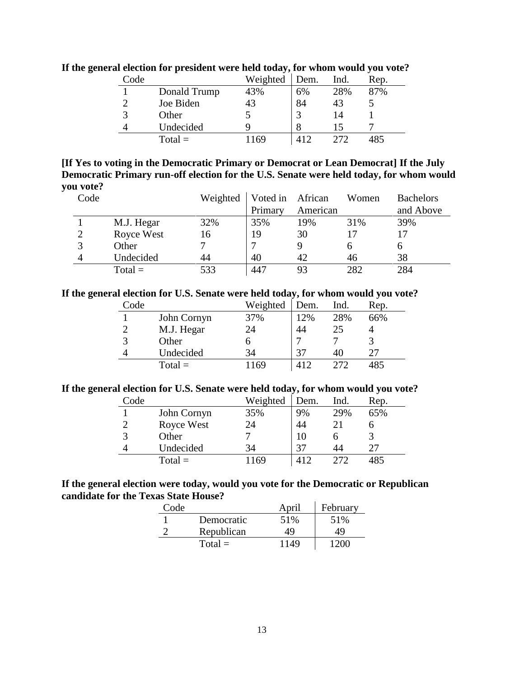| Code |              | Weighted | Dem. | Ind. | Rep. |
|------|--------------|----------|------|------|------|
|      | Donald Trump | 43%      | 6%   | 28%  | 87%  |
|      | Joe Biden    | 43       | 84   | 43   |      |
|      | Other        |          |      |      |      |
|      | Undecided    | q        |      |      |      |
|      | $Total =$    | 169      |      | 272  |      |

**If the general election for president were held today, for whom would you vote?**

### **[If Yes to voting in the Democratic Primary or Democrat or Lean Democrat] If the July Democratic Primary run-off election for the U.S. Senate were held today, for whom would you vote?**

| Code          |                   | Weighted | Voted in African |          | Women | <b>Bachelors</b> |
|---------------|-------------------|----------|------------------|----------|-------|------------------|
|               |                   |          | Primary          | American |       | and Above        |
|               | M.J. Hegar        | 32%      | 35%              | 19%      | 31%   | 39%              |
| $\mathcal{D}$ | <b>Royce West</b> | 16       | 19               | 30       |       |                  |
| 2             | Other             |          |                  |          |       |                  |
|               | Undecided         | 44       | 40               | 42       | 46    | 38               |
|               | $Total =$         | 533      | 447              | 93       | 282   | 284              |

#### **If the general election for U.S. Senate were held today, for whom would you vote?**

| Code           |             | Weighted | Dem. | Ind. | Rep. |
|----------------|-------------|----------|------|------|------|
|                | John Cornyn | 37%      | 12%  | 28%  | 66%  |
| $\overline{2}$ | M.J. Hegar  | 24       | 44   | 25   |      |
| 3              | Other       | O        |      |      |      |
| 4              | Undecided   | 34       | 37   | 40   | 27   |
|                | $Total =$   | 1169     |      | 272  | 485  |

#### **If the general election for U.S. Senate were held today, for whom would you vote?**

| Code |             | Weighted | Dem. | Ind. | Rep. |
|------|-------------|----------|------|------|------|
|      | John Cornyn | 35%      | 9%   | 29%  | 65%  |
|      | Royce West  | 24       | 44   |      |      |
|      | Other       |          |      |      |      |
| 4    | Undecided   | 34       | 37   | 44   | フフ   |
|      | $Total =$   | 169      |      | フフフ  |      |

#### **If the general election were today, would you vote for the Democratic or Republican candidate for the Texas State House?**

| Code |            | April | February |
|------|------------|-------|----------|
|      | Democratic | 51%   | 51%      |
|      | Republican | 49    | 49       |
|      | $Total =$  | 1149  | -200-    |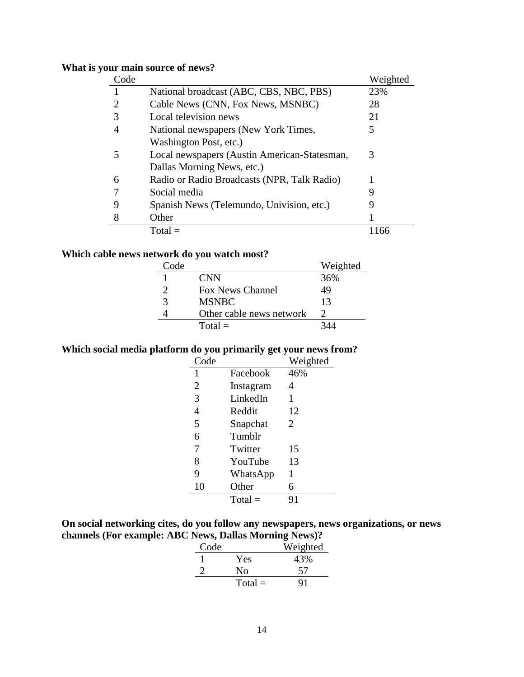### **What is your main source of news?**

| Code |                                              | Weighted |
|------|----------------------------------------------|----------|
|      | National broadcast (ABC, CBS, NBC, PBS)      | 23%      |
| 2    | Cable News (CNN, Fox News, MSNBC)            | 28       |
| 3    | Local television news                        | 21       |
| 4    | National newspapers (New York Times,         | 5        |
|      | Washington Post, etc.)                       |          |
| 5    | Local newspapers (Austin American-Statesman, | 3        |
|      | Dallas Morning News, etc.)                   |          |
| 6    | Radio or Radio Broadcasts (NPR, Talk Radio)  |          |
|      | Social media                                 | 9        |
| 9    | Spanish News (Telemundo, Univision, etc.)    | 9        |
| 8    | Other                                        |          |
|      | $Total =$                                    | 1166     |

### **Which cable news network do you watch most?**

| Code |                          | Weighted |
|------|--------------------------|----------|
|      | <b>CNN</b>               | 36%      |
|      | Fox News Channel         | 49       |
| 3    | <b>MSNBC</b>             | 13       |
|      | Other cable news network |          |
|      | $Total =$                |          |

### **Which social media platform do you primarily get your news from?**

| Code           |           | Weighted |
|----------------|-----------|----------|
| 1              | Facebook  | 46%      |
| $\overline{2}$ | Instagram | 4        |
| 3              | LinkedIn  | 1        |
| $\overline{4}$ | Reddit    | 12       |
| 5              | Snapchat  | 2        |
| 6              | Tumblr    |          |
| 7              | Twitter   | 15       |
| 8              | YouTube   | 13       |
| 9              | WhatsApp  | 1        |
| 10             | Other     | 6        |
|                | $Total =$ | 91       |

### **On social networking cites, do you follow any newspapers, news organizations, or news channels (For example: ABC News, Dallas Morning News)?**

| Code |           | Weighted |
|------|-----------|----------|
|      | Yes       | 43%      |
|      | Nο        | 57       |
|      | $Total =$ | 91       |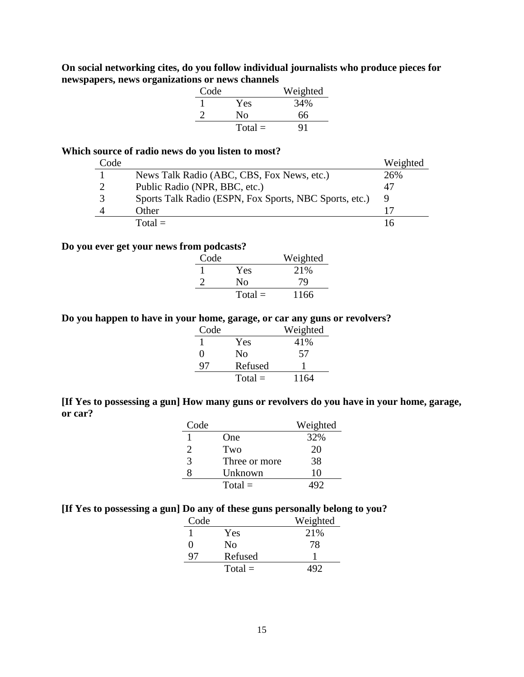### **On social networking cites, do you follow individual journalists who produce pieces for newspapers, news organizations or news channels**

| Code |           | Weighted |
|------|-----------|----------|
|      | Yes       | 34%      |
|      | Nο        | 66       |
|      | $Total =$ | 91       |

### **Which source of radio news do you listen to most?**

| Code |                                                        | Weighted |
|------|--------------------------------------------------------|----------|
|      | News Talk Radio (ABC, CBS, Fox News, etc.)             | 26%      |
|      | Public Radio (NPR, BBC, etc.)                          |          |
|      | Sports Talk Radio (ESPN, Fox Sports, NBC Sports, etc.) |          |
|      | Other                                                  |          |
|      | $Total =$                                              |          |

#### **Do you ever get your news from podcasts?**

| Code |           | Weighted |
|------|-----------|----------|
|      | Yes       | 21\%     |
|      | Nο        | 79       |
|      | $Total =$ | 1166     |

### **Do you happen to have in your home, garage, or car any guns or revolvers?**

| Code |                | Weighted |
|------|----------------|----------|
|      | Yes            | 41%      |
| 0    | N <sub>0</sub> | 57       |
| 97   | Refused        |          |
|      | $Total =$      | 1164     |

**[If Yes to possessing a gun] How many guns or revolvers do you have in your home, garage, or car?**

| Code |               | Weighted |
|------|---------------|----------|
|      | One           | 32%      |
| 2    | Two           | 20       |
| 3    | Three or more | 38       |
|      | Unknown       | 10       |
|      | $Total =$     |          |

### **[If Yes to possessing a gun] Do any of these guns personally belong to you?**

| Code |           | Weighted |
|------|-----------|----------|
|      | Yes       | 21\%     |
| 0    | No        | 78       |
| Q1   | Refused   |          |
|      | $Total =$ |          |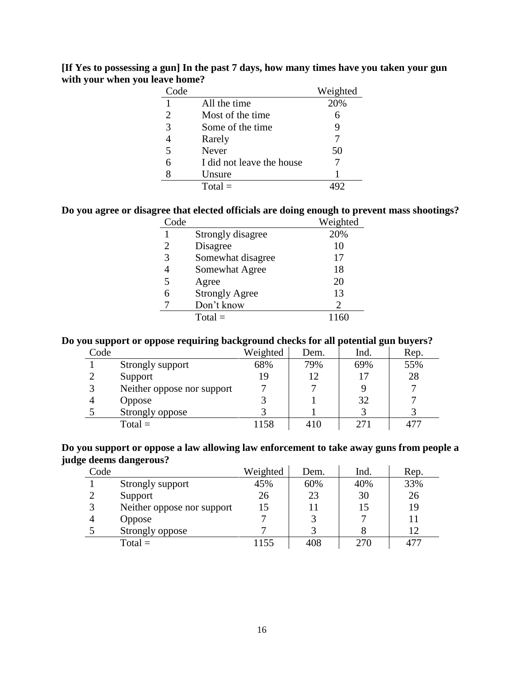| [If Yes to possessing a gun] In the past 7 days, how many times have you taken your gun |  |  |
|-----------------------------------------------------------------------------------------|--|--|
| with your when you leave home?                                                          |  |  |

| $C$ ode |                           | Weighted |
|---------|---------------------------|----------|
|         | All the time              | 20%      |
| 2       | Most of the time          | 6        |
| 3       | Some of the time          |          |
|         | Rarely                    |          |
| 5       | Never                     | 50       |
| 6       | I did not leave the house |          |
|         | Unsure                    |          |
|         | $Total =$                 |          |

### **Do you agree or disagree that elected officials are doing enough to prevent mass shootings?**

| Code |                       | Weighted |
|------|-----------------------|----------|
|      | Strongly disagree     | 20%      |
|      | Disagree              | 10       |
| 3    | Somewhat disagree     | 17       |
|      | Somewhat Agree        | 18       |
| 5    | Agree                 | 20       |
|      | <b>Strongly Agree</b> | 13       |
|      | Don't know            | 2        |
|      | $Total =$             |          |

### **Do you support or oppose requiring background checks for all potential gun buyers?**

| Code |                            | Weighted | Dem. | Ind. | Rep. |
|------|----------------------------|----------|------|------|------|
|      | Strongly support           | 68%      | 79%  | 69%  | 55%  |
|      | Support                    | 19       | 12   |      | 28   |
|      | Neither oppose nor support |          |      |      |      |
|      | Oppose                     |          |      | 32   |      |
|      | Strongly oppose            |          |      |      |      |
|      | $Total =$                  | 1158     | 410  | 271  |      |

#### **Do you support or oppose a law allowing law enforcement to take away guns from people a judge deems dangerous?**

| Code |                            | Weighted | Dem. | Ind. | Rep. |
|------|----------------------------|----------|------|------|------|
|      | Strongly support           | 45%      | 60%  | 40%  | 33%  |
|      | Support                    | 26       | 23   | 30   | 26   |
|      | Neither oppose nor support | 15       | 11   | 15   | 19   |
|      | <b>Oppose</b>              |          |      |      |      |
|      | Strongly oppose            |          |      |      | 12   |
|      | $Total =$                  | 1155     | 408  | 270  | 477  |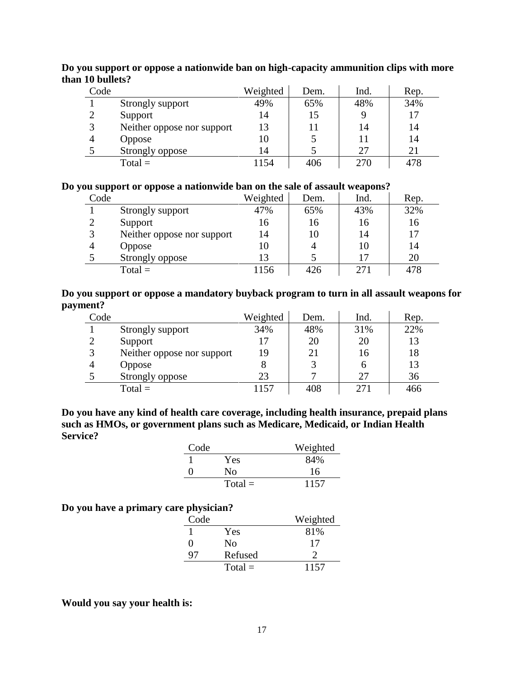| Code |                            | Weighted | Dem. | Ind. | Rep. |
|------|----------------------------|----------|------|------|------|
|      | Strongly support           | 49%      | 65%  | 48%  | 34%  |
|      | Support                    | 14       | 15   |      |      |
|      | Neither oppose nor support | 13       | 11   | 14   | 14   |
|      | <b>Oppose</b>              | 10       |      |      | 14   |
|      | Strongly oppose            | 14       |      | 27   | 21   |
|      | $Total =$                  | 1154     | 406  | 270  | 478  |

**Do you support or oppose a nationwide ban on high-capacity ammunition clips with more than 10 bullets?**

#### **Do you support or oppose a nationwide ban on the sale of assault weapons?**

| Code |                            | Weighted | Dem. | Ind.            | Rep. |
|------|----------------------------|----------|------|-----------------|------|
|      | Strongly support           | 47%      | 65%  | 43%             | 32%  |
|      | Support                    | 16       | 16   | 16              | 16   |
|      | Neither oppose nor support | 14       | 10   | 14              | 17   |
|      | <b>Oppose</b>              | 10       |      | 10              | 14   |
|      | Strongly oppose            | 13       |      |                 | 20   |
|      | $Total =$                  | 1156     | 426  | 27 <sub>1</sub> | 478  |

### **Do you support or oppose a mandatory buyback program to turn in all assault weapons for payment?**

| Code |                            | Weighted | Dem. | Ind. | Rep. |
|------|----------------------------|----------|------|------|------|
|      | Strongly support           | 34%      | 48%  | 31%  | 22%  |
|      | Support                    | 17       | 20   | 20   | 13   |
| 3    | Neither oppose nor support | 19       | 21   | 16   | 18   |
|      | <b>Oppose</b>              |          |      |      | 13   |
|      | Strongly oppose            | 23       |      | 27   | 36   |
|      | $Total =$                  | l 157    | 408  | 271  | 466  |

**Do you have any kind of health care coverage, including health insurance, prepaid plans such as HMOs, or government plans such as Medicare, Medicaid, or Indian Health Service?**

| Code |           | Weighted |
|------|-----------|----------|
|      | Yes       | 84%      |
| ∩    | Nο        | 16       |
|      | $Total =$ | 1157     |

### **Do you have a primary care physician?**

| Code |           | Weighted |
|------|-----------|----------|
|      | Yes       | 81%      |
| 0    | Nο        | 17       |
| q,   | Refused   |          |
|      | $Total =$ | 1157     |

#### **Would you say your health is:**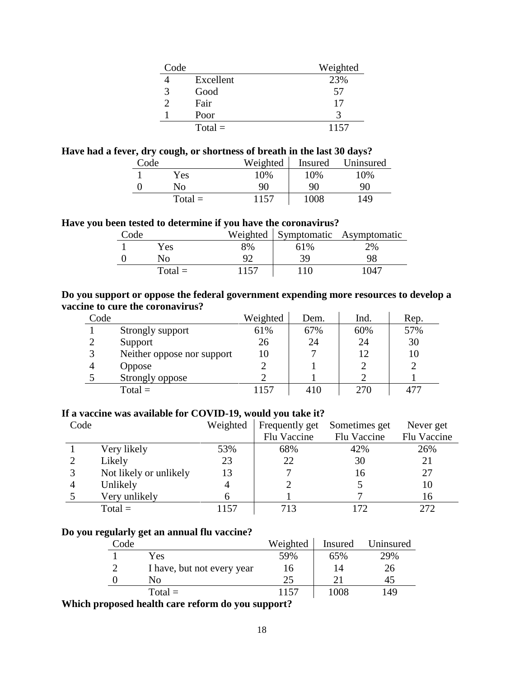| Code |           | Weighted |
|------|-----------|----------|
|      | Excellent | 23%      |
| 3    | Good      | 57       |
|      | Fair      | 17       |
|      | Poor      | 3        |
|      | $Total =$ | 1157     |

### **Have had a fever, dry cough, or shortness of breath in the last 30 days?**

| Code |           | Weighted | <b>Insured</b> | Uninsured |
|------|-----------|----------|----------------|-----------|
|      | Yes       | 10%      | 10%            | 10%       |
|      | No        | 90       | 90             | 90        |
|      | $Total =$ | 1157     | 1008           | 149       |

### **Have you been tested to determine if you have the coronavirus?**

| Code |           |      |     | Weighted Symptomatic Asymptomatic |
|------|-----------|------|-----|-----------------------------------|
|      | Yes       | 8%   | 61% | 2%                                |
|      | No        |      | 39  | 98                                |
|      | $Total =$ | 1157 | 10  | 1047                              |

#### **Do you support or oppose the federal government expending more resources to develop a vaccine to cure the coronavirus?**

| Code |                            | Weighted | Dem. | Ind. | Rep. |
|------|----------------------------|----------|------|------|------|
|      | Strongly support           | 61%      | 67%  | 60%  | 57%  |
|      | Support                    | 26       | 24   | 24   | 30   |
|      | Neither oppose nor support | 10       |      | 12   |      |
|      | <b>Oppose</b>              |          |      |      |      |
|      | Strongly oppose            |          |      |      |      |
|      | $Total =$                  | 157      | 410  | 270  |      |

### **If a vaccine was available for COVID-19, would you take it?**

| Code |                        | Weighted | Frequently get | Sometimes get | Never get   |
|------|------------------------|----------|----------------|---------------|-------------|
|      |                        |          | Flu Vaccine    | Flu Vaccine   | Flu Vaccine |
|      | Very likely            | 53%      | 68%            | 42%           | 26%         |
|      | Likely                 | 23       | 22             | 30            | 21          |
|      | Not likely or unlikely | 13       |                | 16            | 27          |
|      | Unlikely               | 4        |                |               | 10          |
|      | Very unlikely          |          |                |               | 16          |
|      | $Total =$              | 1157     | 713            | 172           | 272         |

### **Do you regularly get an annual flu vaccine?**

| Code          |                            | Weighted | Insured | Uninsured |
|---------------|----------------------------|----------|---------|-----------|
|               | Yes                        | 59%      | 65%     | 29%       |
| $\mathcal{D}$ | I have, but not every year | 16       | 14      | 26        |
|               | Nο                         | 25       | 21      |           |
|               | $Total =$                  | 1157     | 1008    | 149       |
|               |                            |          |         |           |

**Which proposed health care reform do you support?**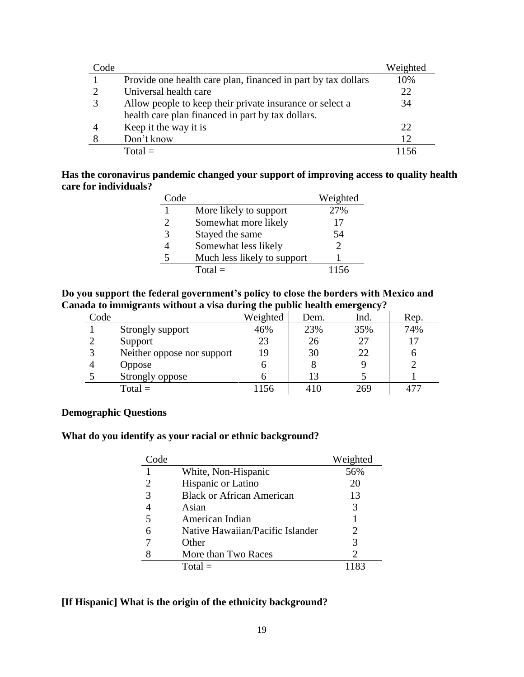| Code |                                                               | Weighted |
|------|---------------------------------------------------------------|----------|
|      | Provide one health care plan, financed in part by tax dollars | 10%      |
|      | Universal health care                                         | 22       |
|      | Allow people to keep their private insurance or select a      | 34       |
|      | health care plan financed in part by tax dollars.             |          |
|      | Keep it the way it is                                         | 22       |
|      | Don't know                                                    | 12       |
|      | $Total =$                                                     |          |

#### **Has the coronavirus pandemic changed your support of improving access to quality health care for individuals?**

| Code                  |                             | Weighted |
|-----------------------|-----------------------------|----------|
|                       | More likely to support      | 27%      |
| $\mathcal{D}_{\cdot}$ | Somewhat more likely        | 17       |
| 3                     | Stayed the same             | 54       |
|                       | Somewhat less likely        |          |
|                       | Much less likely to support |          |
|                       | $Total =$                   | 1156     |

### **Do you support the federal government's policy to close the borders with Mexico and Canada to immigrants without a visa during the public health emergency?**

| Code          |                            | Weighted | Dem. | Ind. | Rep. |
|---------------|----------------------------|----------|------|------|------|
|               | Strongly support           | 46%      | 23%  | 35%  | 74%  |
| $\mathcal{D}$ | Support                    | 23       | 26   | 27   |      |
| 3             | Neither oppose nor support | 19       | 30   | 22   |      |
|               | <b>Oppose</b>              |          | 8    |      |      |
|               | Strongly oppose            |          | 13   |      |      |
|               | $Total =$                  | 1156     | 410  | 269  |      |

### **Demographic Questions**

### **What do you identify as your racial or ethnic background?**

| Code |                                  | Weighted       |
|------|----------------------------------|----------------|
|      | White, Non-Hispanic              | 56%            |
|      | Hispanic or Latino               | 20             |
| 3    | <b>Black or African American</b> | 13             |
|      | Asian                            | 3              |
|      | American Indian                  |                |
|      | Native Hawaiian/Pacific Islander | 2              |
|      | Other                            | 3              |
|      | More than Two Races              | $\overline{2}$ |
|      | $Total =$                        |                |

### **[If Hispanic] What is the origin of the ethnicity background?**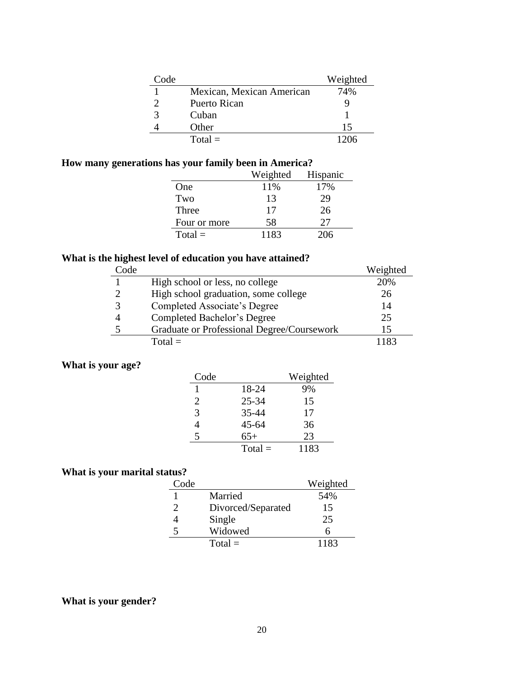| Code |                           | Weighted |
|------|---------------------------|----------|
|      | Mexican, Mexican American | 74%      |
|      | Puerto Rican              |          |
|      | Cuban                     |          |
|      | Other                     | 15       |
|      | $Total =$                 | 1206     |

### **How many generations has your family been in America?**

|              | Weighted | Hispanic |
|--------------|----------|----------|
| One          | 11%      | 17%      |
| Two          | 13       | 29       |
| Three        | 17       | 26       |
| Four or more | 58       | 27       |
| $Total =$    | 1183     | 206      |

### **What is the highest level of education you have attained?**

| Code |                                            | Weighted |
|------|--------------------------------------------|----------|
|      | High school or less, no college            | 20%      |
|      | High school graduation, some college       | 26       |
|      | Completed Associate's Degree               | 14       |
|      | Completed Bachelor's Degree                | 25       |
|      | Graduate or Professional Degree/Coursework | 15       |
|      | Total $=$                                  | 1193     |

### **What is your age?**

| Code |           | Weighted |
|------|-----------|----------|
|      | 18-24     | 9%       |
| 2    | $25 - 34$ | 15       |
| 3    | 35-44     | 17       |
|      | $45 - 64$ | 36       |
| 5    | $65+$     | 23       |
|      | $Total =$ | 1183     |

### **What is your marital status?**

| Code |                    | Weighted |
|------|--------------------|----------|
|      | Married            | 54%      |
|      | Divorced/Separated | 15       |
|      | Single             | 25       |
|      | Widowed            |          |
|      | $Total =$          | 1183     |

### **What is your gender?**